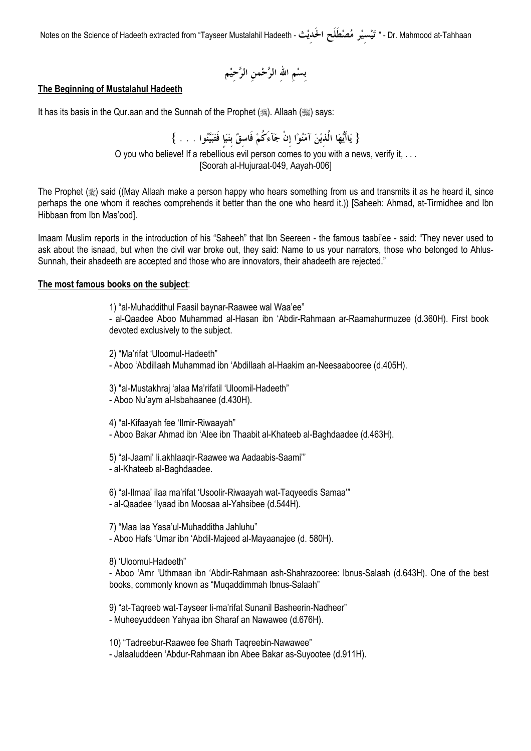Dr. Mahmood at-Tahhaan - " تَيْسيْر مُصْطَلَح الحَديْث - Notes on the Science of Hadeeth extracted from "Tayseer Mustalahil Hadeeth

### The Beginning of Mustalahul Hadeeth

It has its basis in the Qur.aan and the Sunnah of the Prophet (...). Allaah (...) says:

{ يَاأَيُّهَا الَّذيْنَ آمَنُوْا إنْ جَآءَكُمْ فَاسقٌ بنَبَإٍ فَتَبَيَّنُوا . . . } O you who believe! If a rebellious evil person comes to you with a news, verify it, ...

[Soorah al-Hujuraat-049, Aayah-006]

The Prophet (5) said ((May Allaah make a person happy who hears something from us and transmits it as he heard it, since perhaps the one whom it reaches comprehends it better than the one who heard it.)) [Saheeh: Ahmad, at-Tirmidhee and Ibn Hibbaan from Ibn Mas'ood].

Imaam Muslim reports in the introduction of his "Saheeh" that Ibn Seereen - the famous taabi'ee - said: "They never used to ask about the isnaad, but when the civil war broke out, they said: Name to us your narrators, those who belonged to Ahlus-Sunnah, their ahadeeth are accepted and those who are innovators, their ahadeeth are rejected."

### The most famous books on the subject:

1) "al-Muhaddithul Faasil baynar-Raawee wal Waa'ee"

- al-Qaadee Aboo Muhammad al-Hasan ibn 'Abdir-Rahmaan ar-Raamahurmuzee (d.360H). First book devoted exclusively to the subject.

2) "Ma'rifat 'Uloomul-Hadeeth"

- Aboo 'Abdillaah Muhammad ibn 'Abdillaah al-Haakim an-Neesaabooree (d.405H).

3) "al-Mustakhraj 'alaa Ma'rifatil 'Uloomil-Hadeeth"

- Aboo Nu'aym al-Isbahaanee (d.430H).

4) "al-Kifaayah fee 'llmir-Riwaayah"

- Aboo Bakar Ahmad ibn 'Alee ibn Thaabit al-Khateeb al-Baghdaadee (d.463H).

5) "al-Jaami' li.akhlaagir-Raawee wa Aadaabis-Saami" - al-Khateeb al-Baghdaadee.

6) "al-Ilmaa' ilaa ma'rifat 'Usoolir-Riwaayah wat-Taqyeedis Samaa'" - al-Qaadee 'Iyaad ibn Moosaa al-Yahsibee (d.544H).

7) "Maa laa Yasa'ul-Muhadditha Jahluhu" - Aboo Hafs 'Umar ibn 'Abdil-Majeed al-Mayaanajee (d. 580H).

8) 'Uloomul-Hadeeth"

- Aboo 'Amr 'Uthmaan ibn 'Abdir-Rahmaan ash-Shahrazooree: Ibnus-Salaah (d.643H). One of the best books, commonly known as "Mugaddimmah Ibnus-Salaah"

9) "at-Tagreeb wat-Tayseer li-ma'rifat Sunanil Basheerin-Nadheer" - Muheeyuddeen Yahyaa ibn Sharaf an Nawawee (d.676H).

10) "Tadreebur-Raawee fee Sharh Tagreebin-Nawawee" - Jalaaluddeen 'Abdur-Rahmaan ibn Abee Bakar as-Suyootee (d.911H).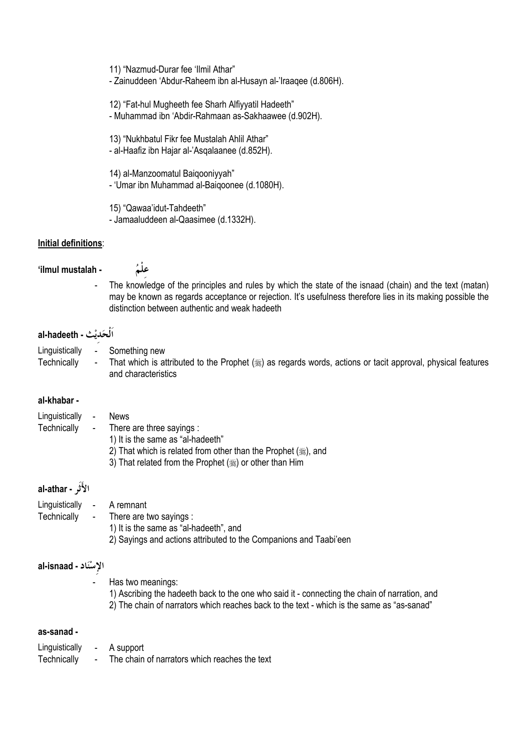11) "Nazmud-Durar fee 'Ilmil Athar" - Zainuddeen 'Abdur-Raheem ibn al-Husayn al-'Iraagee (d.806H).

12) "Fat-hul Mugheeth fee Sharh Alfiyyatil Hadeeth" - Muhammad ibn 'Abdir-Rahmaan as-Sakhaawee (d.902H).

13) "Nukhbatul Fikr fee Mustalah Ahlil Athar" - al-Haafiz ibn Hajar al-'Asgalaanee (d.852H).

14) al-Manzoomatul Baiqooniyyah" - 'Umar ibn Muhammad al-Baigoonee (d.1080H).

15) "Qawaa'idut-Tahdeeth" - Jamaaluddeen al-Qaasimee (d.1332H).

## Initial definitions:

'ilmul mustalah -

علُمُ

The knowledge of the principles and rules by which the state of the isnaad (chain) and the text (matan)  $\overline{a}$ may be known as regards acceptance or rejection. It's usefulness therefore lies in its making possible the distinction between authentic and weak hadeeth

# al-hadeeth - اَلْحَديْث

- Linguistically Something new
- That which is attributed to the Prophet (#) as regards words, actions or tacit approval, physical features Technically and characteristics

# al-khabar -

| Linguistically - | <b>News</b>                                                 |
|------------------|-------------------------------------------------------------|
| Technically      | - There are three sayings :                                 |
|                  | 1) It is the same as "al-hadeeth"                           |
|                  | 2) That which is related from other than the Prophet (, and |
|                  | 3) That related from the Prophet (, or other than Him       |

# الأَثَر - al-athar

| Linguistically - A remnant |                                                                   |
|----------------------------|-------------------------------------------------------------------|
|                            | Technically - There are two sayings :                             |
|                            | 1) It is the same as "al-hadeeth", and                            |
|                            | 2) Sayings and actions attributed to the Companions and Taabi'een |

# al-isnaad - الإسْنَاد

Has two meanings:

1) Ascribing the hadeeth back to the one who said it - connecting the chain of narration, and 2) The chain of narrators which reaches back to the text - which is the same as "as-sanad"

# as-sanad -

- A support Linguistically  $\mathcal{L}^{\text{max}}$
- Technically The chain of narrators which reaches the text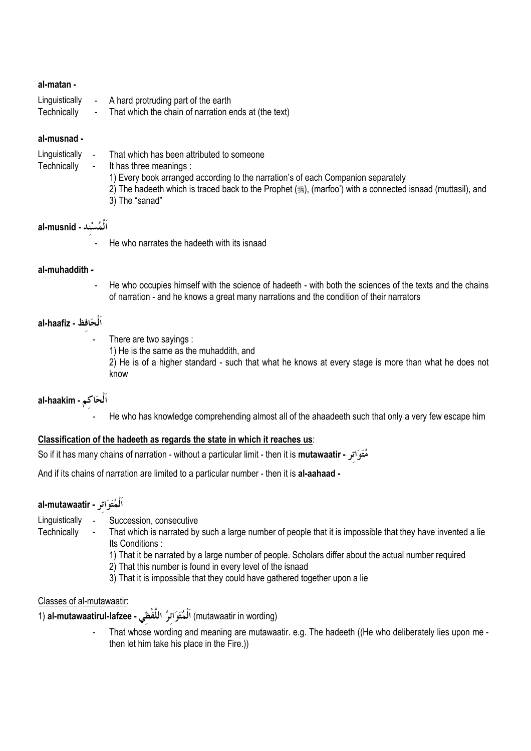### al-matan -

- Linguistically A hard protruding part of the earth
- Technically That which the chain of narration ends at (the text)

### al-musnad -

- Linquistically -That which has been attributed to someone
- Technically It has three meanings :
	- 1) Every book arranged according to the narration's of each Companion separately
	- 2) The hadeeth which is traced back to the Prophet (5), (marfoo') with a connected isnaad (muttasil), and
	- 3) The "sanad"

# اَلْمُسْند - al-musnid

He who narrates the hadeeth with its isnaad

## al-muhaddith -

 $\overline{a}$ He who occupies himself with the science of hadeeth - with both the sciences of the texts and the chains of narration - and he knows a great many narrations and the condition of their narrators

# al-haafiz - اُلْحَافِظْ

- There are two sayings :
	- 1) He is the same as the muhaddith, and
	- 2) He is of a higher standard such that what he knows at every stage is more than what he does not know

# al-haakim - اَلْحَاكم

He who has knowledge comprehending almost all of the ahaadeeth such that only a very few escape him

# Classification of the hadeeth as regards the state in which it reaches us:

مُتَوَاتِرِ - So if it has many chains of narration - without a particular limit - then it is **mutawaatir** 

And if its chains of narration are limited to a particular number - then it is al-aahaad -

# al-mutawaatir - اَلْمُتَوَاتِر

- Linguistically -Succession, consecutive
- That which is narrated by such a large number of people that it is impossible that they have invented a lie Technically Its Conditions:
	- 1) That it be narrated by a large number of people. Scholars differ about the actual number required
	- 2) That this number is found in every level of the isnaad
	- 3) That it is impossible that they could have gathered together upon a lie

### Classes of al-mutawaatir:

(mutawaatir in wording) اَلْمُتَوَاترُ اللَّفْظَى - al-mutawaatirul-lafzee (1

That whose wording and meaning are mutawaatir. e.g. The hadeeth ((He who deliberately lies upon me then let him take his place in the Fire.))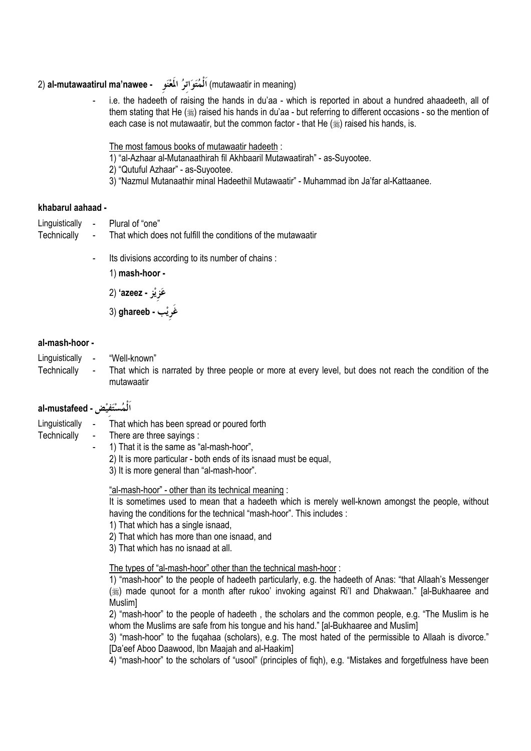# (mutawaatir in meaning) اَلْمُتَوَاتِرُ الْمَعْنَوِ - al-mutawaatirul ma'nawee (2

i.e. the hadeeth of raising the hands in du'aa - which is reported in about a hundred ahaadeeth, all of them stating that He (#) raised his hands in du'aa - but referring to different occasions - so the mention of each case is not mutawaatir, but the common factor - that He (1) raised his hands, is.

The most famous books of mutawaatir hadeeth :

1) "al-Azhaar al-Mutanaathirah fil Akhbaaril Mutawaatirah" - as-Suyootee.

2) "Qutuful Azhaar" - as-Suyootee.

3) "Nazmul Mutanaathir minal Hadeethil Mutawaatir" - Muhammad ibn Ja'far al-Kattaanee.

### khabarul aahaad -

- Linguistically Plural of "one"
- That which does not fulfill the conditions of the mutawaatir Technically  $\blacksquare$ 
	- Its divisions according to its number of chains :
		- 1) mash-hoor -

عَزِيْزِ - azeez' (2

غَرِيْب - ghareeb (3

### al-mash-hoor -

Linguistically "Well-known"

Technically That which is narrated by three people or more at every level, but does not reach the condition of the mutawaatir

# اَلْمُسْتَفِيْضِ - al-mustafeed

- Linguistically -That which has been spread or poured forth
- Technically There are three savings :
	- 1) That it is the same as "al-mash-hoor",  $\overline{a}$ 2) It is more particular - both ends of its isnaad must be equal, 3) It is more general than "al-mash-hoor".

"al-mash-hoor" - other than its technical meaning:

It is sometimes used to mean that a hadeeth which is merely well-known amongst the people, without having the conditions for the technical "mash-hoor". This includes :

- 1) That which has a single isnaad.
- 2) That which has more than one isnaad, and
- 3) That which has no isnaad at all.

The types of "al-mash-hoor" other than the technical mash-hoor:

1) "mash-hoor" to the people of hadeeth particularly, e.g. the hadeeth of Anas: "that Allaah's Messenger (ﷺ) made qunoot for a month after rukoo' invoking against Ri'l and Dhakwaan." [al-Bukhaaree and Muslim]

2) "mash-hoor" to the people of hadeeth, the scholars and the common people, e.g. "The Muslim is he whom the Muslims are safe from his tongue and his hand." [al-Bukhaaree and Muslim]

3) "mash-hoor" to the fugahaa (scholars), e.g. The most hated of the permissible to Allaah is divorce." [Da'eef Aboo Daawood, Ibn Maajah and al-Haakim]

4) "mash-hoor" to the scholars of "usool" (principles of figh), e.g. "Mistakes and forgetfulness have been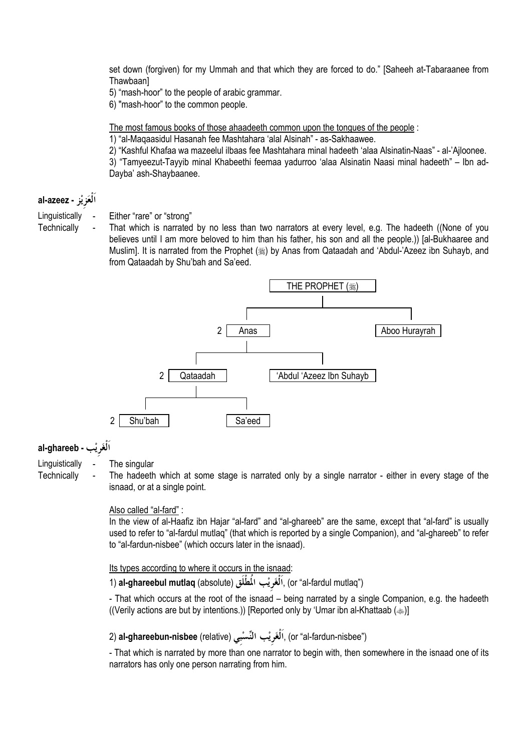set down (forgiven) for my Ummah and that which they are forced to do." [Saheeh at-Tabaraanee from Thawbaanl

5) "mash-hoor" to the people of arabic grammar.

6) "mash-hoor" to the common people.

The most famous books of those ahaadeeth common upon the tongues of the people :

1) "al-Magaasidul Hasanah fee Mashtahara 'alal Alsinah" - as-Sakhaawee.

2) "Kashful Khafaa wa mazeelul ilbaas fee Mashtahara minal hadeeth 'alaa Alsinatin-Naas" - al-'Ailoonee.

3) "Tamveezut-Tavvib minal Khabeethi feemaa vadurroo 'alaa Alsinatin Naasi minal hadeeth" - Ibn ad-Dayba' ash-Shaybaanee.

# اَلْعَزِيْز - al-azeez

Linguistically Either "rare" or "strong"

Technically

That which is narrated by no less than two narrators at every level, e.g. The hadeeth ((None of you believes until I am more beloved to him than his father, his son and all the people.)) [al-Bukhaaree and Muslim]. It is narrated from the Prophet (ﷺ) by Anas from Qataadah and 'Abdul-'Azeez ibn Suhayb, and from Qataadah by Shu'bah and Sa'eed.



# al-ghareeb - v

Linguistically

Technically

The singular

The hadeeth which at some stage is narrated only by a single narrator - either in every stage of the isnaad, or at a single point.

# Also called "al-fard" :

In the view of al-Haafiz ibn Hajar "al-fard" and "al-ghareeb" are the same, except that "al-fard" is usually used to refer to "al-fardul mutlag" (that which is reported by a single Companion), and "al-ghareeb" to refer to "al-fardun-nisbee" (which occurs later in the isnaad).

# Its types according to where it occurs in the isnaad:

1) **al-ghareebul mutlaq** (absolute) ٱلْغَرِيْبِ الْمُطْلَقِ (absolute) (1 al**-**ghareebul mutlaq

- That which occurs at the root of the isnaad - being narrated by a single Companion, e.g. the hadeeth ((Verily actions are but by intentions.)) [Reported only by 'Umar ibn al-Khattaab ( $\gg$ )]

# 2) al-ghareebun-nisbee (relative) اَلْغَرِيْب النِّسْبِي) (al-ghareebun-nisbee (relative) اَلْغَرِيْب

- That which is narrated by more than one narrator to begin with, then somewhere in the isnaad one of its narrators has only one person narrating from him.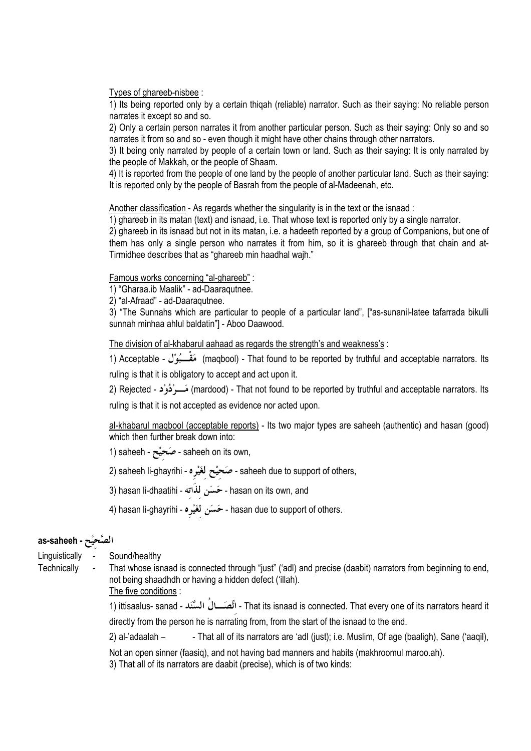Types of ghareeb-nisbee :

1) Its being reported only by a certain thigah (reliable) narrator. Such as their saying: No reliable person narrates it except so and so.

2) Only a certain person narrates it from another particular person. Such as their saying: Only so and so narrates it from so and so - even though it might have other chains through other narrators.

3) It being only narrated by people of a certain town or land. Such as their saying: It is only narrated by the people of Makkah, or the people of Shaam.

4) It is reported from the people of one land by the people of another particular land. Such as their saying: It is reported only by the people of Basrah from the people of al-Madeenah, etc.

Another classification - As regards whether the singularity is in the text or the isnaad:

1) ghareeb in its matan (text) and isnaad, i.e. That whose text is reported only by a single narrator.

2) ghareeb in its isnaad but not in its matan, i.e. a hadeeth reported by a group of Companions, but one of them has only a single person who narrates it from him, so it is ghareeb through that chain and at-Tirmidhee describes that as "ghareeb min haadhal wajh."

Famous works concerning "al-ghareeb" :

1) "Gharaa.ib Maalik" - ad-Daaraqutnee.

2) "al-Afraad" - ad-Daaraqutnee.

3) "The Sunnahs which are particular to people of a particular land". ["as-sunanil-latee tafarrada bikulli sunnah minhaa ahlul baldatin"] - Aboo Daawood.

The division of al-khabarul aahaad as regards the strength's and weakness's :

1) Acceptable - مَقْــبُوْل (maqbool) - That found to be reported by truthful and acceptable narrators. Its ruling is that it is obligatory to accept and act upon it.

mardood) - That not found to be reported by truthful and acceptable narrators. Its) مَسْرِ دُوْد - Rejected (2 ruling is that it is not accepted as evidence nor acted upon.

al-khabarul magbool (acceptable reports) - Its two major types are saheeh (authentic) and hasan (good) which then further break down into:

1) saheeh - صَحيْح - saheeh on its own,

2) saheeh li-ghayrihi - صَحيْح لغَيْره - saheeh due to support of others,

- 3) hasan li-dhaatihi حَسَنِ لذَاته hasan on its own, and
- 4) hasan li-ghayrihi حَسَن لغَيْره hasan due to support of others.

# as-saheeh - الصَّحيْح

Linquistically -Sound/healthy

Technically

That whose isnaad is connected through "just" ('adl) and precise (daabit) narrators from beginning to end, not being shaadhdh or having a hidden defect ('illah).

The five conditions :

directly from the person he is narrating from, from the start of the isnaad to the end.

 $2)$  al-'adaalah  $-$ - That all of its narrators are 'adl (just); i.e. Muslim, Of age (baaligh), Sane ('aagil),

Not an open sinner (faasig), and not having bad manners and habits (makhroomul maroo.ah).

3) That all of its narrators are daabit (precise), which is of two kinds: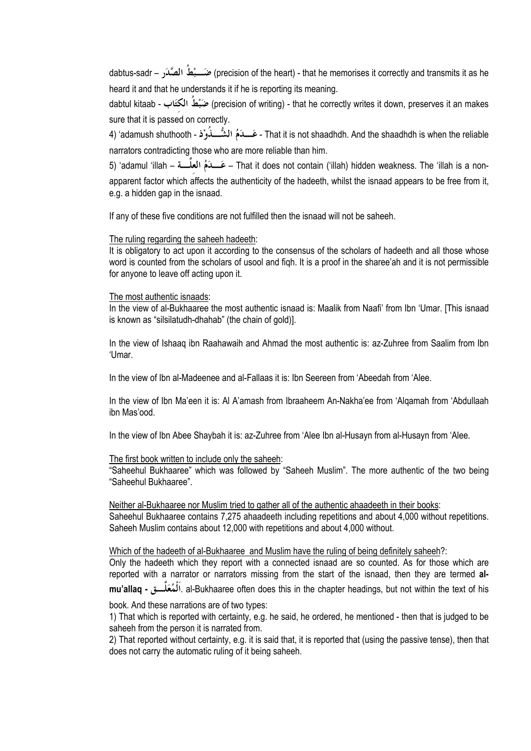precision of the heart) - that he memorises it correctly and transmits it as he (precision of the heart) - that he memorises it correctly and transmits it as he heard it and that he understands it if he is reporting its meaning.

(precision of writing) - that he correctly writes it down, preserves it an makes ضبَّطُ الكتَابِ - dabtul kitaab sure that it is passed on correctly.

- That it is not shaadhdh. And the shaadhdh is when the reliable - عَـــدَمُ الشُّـــذُوْذ - adamush shuthooth narrators contradicting those who are more reliable than him.

5) 'adamul 'illah – عَـــدَمُ العلَّـــة – That it does not contain ('illah) hidden weakness. The 'illah is a nonapparent factor which affects the authenticity of the hadeeth, whilst the isnaad appears to be free from it, e.g. a hidden gap in the isnaad.

If any of these five conditions are not fulfilled then the isnaad will not be saheeh.

### The ruling regarding the saheeh hadeeth:

It is obligatory to act upon it according to the consensus of the scholars of hadeeth and all those whose word is counted from the scholars of usool and figh. It is a proof in the sharee'ah and it is not permissible for anyone to leave off acting upon it.

### The most authentic isnaads:

In the view of al-Bukhaaree the most authentic isnaad is: Maalik from Naafi' from Ibn 'Umar, IThis isnaad is known as "silsilatudh-dhahab" (the chain of gold)].

In the view of Ishaag ibn Raahawaih and Ahmad the most authentic is: az-Zuhree from Saalim from Ibn 'Umar.

In the view of Ibn al-Madeenee and al-Fallaas it is: Ibn Seereen from 'Abeedah from 'Alee.

In the view of Ibn Ma'een it is: Al A'amash from Ibraaheem An-Nakha'ee from 'Algamah from 'Abdullaah ibn Mas'ood.

In the view of Ibn Abee Shaybah it is: az-Zuhree from 'Alee Ibn al-Husayn from al-Husayn from 'Alee.

### The first book written to include only the saheeh:

"Saheehul Bukhaaree" which was followed by "Saheeh Muslim". The more authentic of the two being "Saheehul Bukhaaree".

### Neither al-Bukhaaree nor Muslim tried to gather all of the authentic ahaadeeth in their books:

Saheehul Bukhaaree contains 7.275 ahaadeeth including repetitions and about 4.000 without repetitions. Saheeh Muslim contains about 12,000 with repetitions and about 4,000 without.

### Which of the hadeeth of al-Bukhaaree and Muslim have the ruling of being definitely saheeh?:

Only the hadeeth which they report with a connected isnaad are so counted. As for those which are reported with a narrator or narrators missing from the start of the isnaad, then they are termed almu'allag - ٱلْمُعَلَّـــق . al-Bukhaaree often does this in the chapter headings, but not within the text of his

book. And these narrations are of two types:

1) That which is reported with certainty, e.g. he said, he ordered, he mentioned - then that is judged to be saheeh from the person it is narrated from.

2) That reported without certainty, e.g. it is said that, it is reported that (using the passive tense), then that does not carry the automatic ruling of it being saheeh.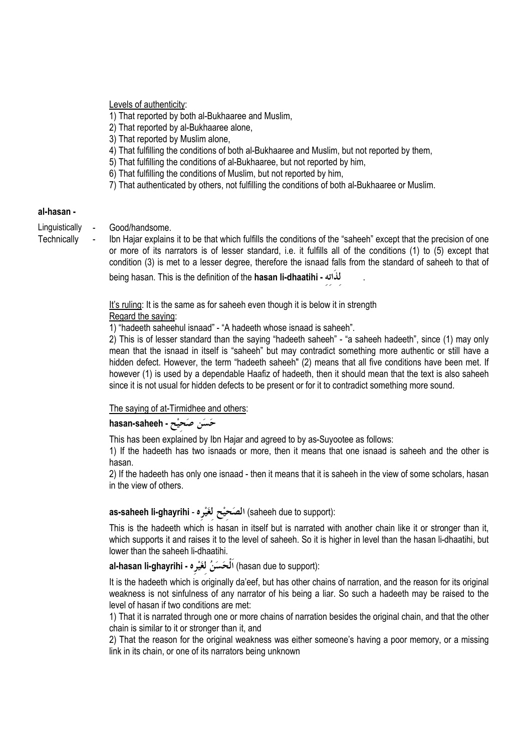Levels of authenticity:

- 1) That reported by both al-Bukhaaree and Muslim.
- 2) That reported by al-Bukhaaree alone,
- 3) That reported by Muslim alone,
- 4) That fulfilling the conditions of both al-Bukhaaree and Muslim, but not reported by them,
- 5) That fulfilling the conditions of al-Bukhaaree, but not reported by him.
- 6) That fulfilling the conditions of Muslim, but not reported by him,
- 7) That authenticated by others, not fulfilling the conditions of both al-Bukhaaree or Muslim.

### al-hasan -

- Good/handsome. Linguistically
- Technically
- Ibn Hajar explains it to be that which fulfills the conditions of the "saheeh" except that the precision of one or more of its narrators is of lesser standard, i.e. it fulfills all of the conditions (1) to (5) except that condition (3) is met to a lesser degree, therefore the isnaad falls from the standard of saheeh to that of

being hasan. This is the definition of the hasan li-dhaatihi - لذاته

It's ruling: It is the same as for saheeh even though it is below it in strength Regard the saying:

1) "hadeeth saheehul isnaad" - "A hadeeth whose isnaad is saheeh".

2) This is of lesser standard than the saying "hadeeth saheeh" - "a saheeh hadeeth", since (1) may only mean that the isnaad in itself is "saheeh" but may contradict something more authentic or still have a hidden defect. However, the term "hadeeth saheeh" (2) means that all five conditions have been met. If however (1) is used by a dependable Haafiz of hadeeth, then it should mean that the text is also saheeh since it is not usual for hidden defects to be present or for it to contradict something more sound.

The saying of at-Tirmidhee and others:

hasan-saheeh - حَسَن صَحيْح

This has been explained by Ibn Hajar and agreed to by as-Suyootee as follows:

1) If the hadeeth has two isnaads or more, then it means that one isnaad is saheeh and the other is hasan.

2) If the hadeeth has only one isnaad - then it means that it is saheeh in the view of some scholars, hasan in the view of others.

# :(saheeh due to support) الصَحيْح لغَيْره - as-saheeh li-ghayrihi

This is the hadeeth which is hasan in itself but is narrated with another chain like it or stronger than it, which supports it and raises it to the level of saheeh. So it is higher in level than the hasan li-dhaatihi, but lower than the saheeh li-dhaatihi.

# :(hasan due to support) اَلْحَسَنُ لغَيْرِه - al-hasan li-ghayrihi

It is the hadeeth which is originally da'eef, but has other chains of narration, and the reason for its original weakness is not sinfulness of any narrator of his being a liar. So such a hadeeth may be raised to the level of hasan if two conditions are met:

1) That it is narrated through one or more chains of narration besides the original chain, and that the other chain is similar to it or stronger than it, and

2) That the reason for the original weakness was either someone's having a poor memory, or a missing link in its chain, or one of its narrators being unknown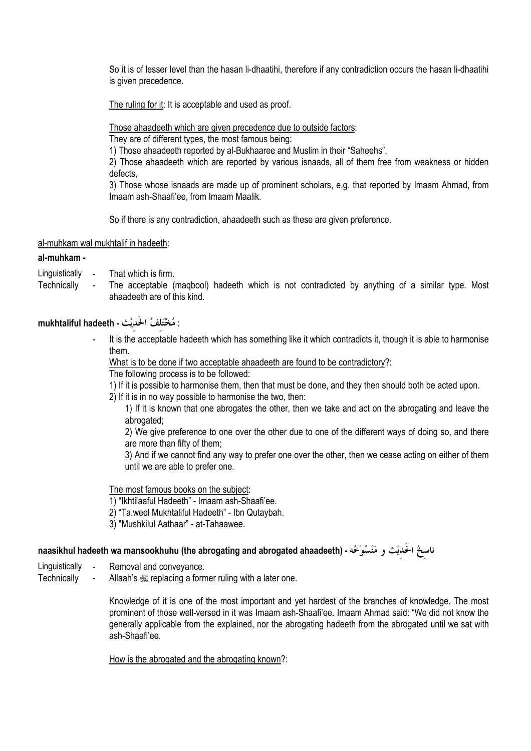So it is of lesser level than the hasan li-dhaatihi, therefore if any contradiction occurs the hasan li-dhaatihi is given precedence.

The ruling for it: It is acceptable and used as proof.

Those ahaadeeth which are given precedence due to outside factors:

They are of different types, the most famous being:

1) Those ahaadeeth reported by al-Bukhaaree and Muslim in their "Saheehs".

2) Those ahaadeeth which are reported by various isnaads, all of them free from weakness or hidden defects.

3) Those whose isnaads are made up of prominent scholars, e.g. that reported by Imaam Ahmad, from Imaam ash-Shaafi'ee, from Imaam Maalik.

So if there is any contradiction, ahaadeeth such as these are given preference.

### al-muhkam wal mukhtalif in hadeeth:

### al-muhkam -

- That which is firm Linguistically -
- Technically The acceptable (magbool) hadeeth which is not contradicted by anything of a similar type. Most  $\Box$ ahaadeeth are of this kind.

# : مُخْتَلِفُ الْحَدِيْثِ - mukhtaliful hadeeth

It is the acceptable hadeeth which has something like it which contradicts it, though it is able to harmonise them.

What is to be done if two acceptable ahaadeeth are found to be contradictory?:

The following process is to be followed:

1) If it is possible to harmonise them, then that must be done, and they then should both be acted upon.

2) If it is in no way possible to harmonise the two, then:

1) If it is known that one abrogates the other, then we take and act on the abrogating and leave the abrogated:

2) We give preference to one over the other due to one of the different ways of doing so, and there are more than fifty of them;

3) And if we cannot find any way to prefer one over the other, then we cease acting on either of them until we are able to prefer one.

The most famous books on the subject:

1) "Ikhtilaaful Hadeeth" - Imaam ash-Shaafi'ee.

2) "Ta.weel Mukhtaliful Hadeeth" - Ibn Qutaybah.

3) "Mushkilul Aathaar" - at-Tahaawee.

# ناسخُ الحَديْث و مَنْسُوْخُه - (haasikhul hadeeth wa mansookhuhu (the abrogating and abrogated ahaadeeth

- Removal and convevance. Linguistically
- Technically Allaah's  $\frac{100}{200}$  replacing a former ruling with a later one.

Knowledge of it is one of the most important and yet hardest of the branches of knowledge. The most prominent of those well-versed in it was Imaam ash-Shaafi'ee. Imaam Ahmad said: "We did not know the generally applicable from the explained, nor the abrogating hadeeth from the abrogated until we sat with ash-Shaafi'ee.

How is the abrogated and the abrogating known?: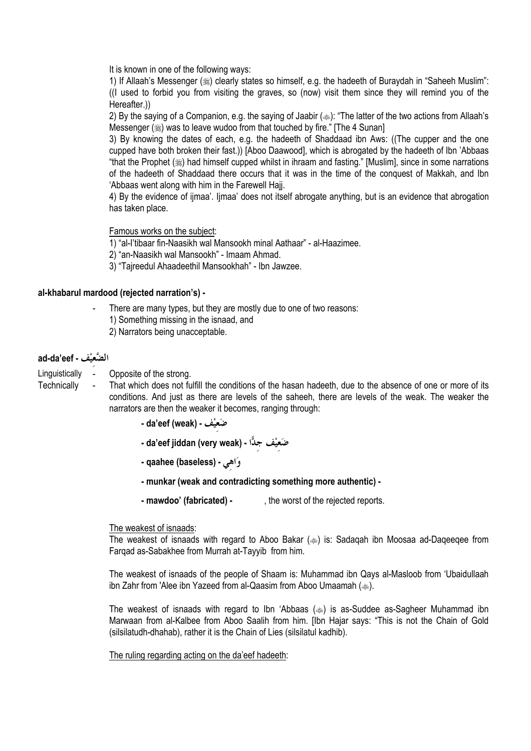It is known in one of the following ways:

1) If Allaah's Messenger (ﷺ) clearly states so himself, e.g. the hadeeth of Buraydah in "Saheeh Muslim": (I used to forbid you from visiting the graves, so (now) visit them since they will remind you of the Hereafter.))

2) By the saying of a Companion, e.g. the saying of Jaabir (...): "The latter of the two actions from Allaah's Messenger (1) was to leave wudoo from that touched by fire." [The 4 Sunan]

3) By knowing the dates of each, e.g. the hadeeth of Shaddaad ibn Aws: ((The cupper and the one cupped have both broken their fast.)) [Aboo Daawood], which is abrogated by the hadeeth of Ibn 'Abbaas "that the Prophet (ﷺ) had himself cupped whilst in ihraam and fasting." [Muslim], since in some narrations of the hadeeth of Shaddaad there occurs that it was in the time of the conquest of Makkah, and Ibn 'Abbaas went along with him in the Farewell Haii.

4) By the evidence of iimaa'. Iimaa' does not itself abrogate anything, but is an evidence that abrogation has taken place.

Famous works on the subject:

1) "al-l'tibaar fin-Naasikh wal Mansookh minal Aathaar" - al-Haazimee.

2) "an-Naasikh wal Mansookh" - Imaam Ahmad.

3) "Taireedul Ahaadeethil Mansookhah" - Ibn Jawzee.

### al-khabarul mardood (rejected narration's) -

- There are many types, but they are mostly due to one of two reasons:
- 1) Something missing in the isnaad, and
- 2) Narrators being unacceptable.

### ad-da'eef - الضَّعيْف

- Linguistically -Opposite of the strong.
- Technically That which does not fulfill the conditions of the hasan hadeeth, due to the absence of one or more of its conditions. And just as there are levels of the saheeh, there are levels of the weak. The weaker the narrators are then the weaker it becomes, ranging through:
	- da'eef (weak) خَبَعيْف da'eef
	- da'eef jiddan (very weak) شَعِيْف جدًّا -
	- وَاهي qaahee (baseless) -
	- munkar (weak and contradicting something more authentic) -
	- mawdoo' (fabricated) -, the worst of the rejected reports.

### The weakest of isnaads:

The weakest of isnaads with regard to Aboo Bakar (<a>>>>>) is: Sadaqah ibn Moosaa ad-Daqeeqee from Fargad as-Sabakhee from Murrah at-Tayyib from him.

The weakest of isnaads of the people of Shaam is: Muhammad ibn Qays al-Masloob from 'Ubaidullaah ibn Zahr from 'Alee ibn Yazeed from al-Qaasim from Aboo Umaamah (...).

The weakest of isnaads with regard to Ibn 'Abbaas () is as-Suddee as-Sagheer Muhammad ibn Marwaan from al-Kalbee from Aboo Saalih from him. [Ibn Hajar says: "This is not the Chain of Gold (silsilatudh-dhahab), rather it is the Chain of Lies (silsilatul kadhib).

### The ruling regarding acting on the da'eef hadeeth: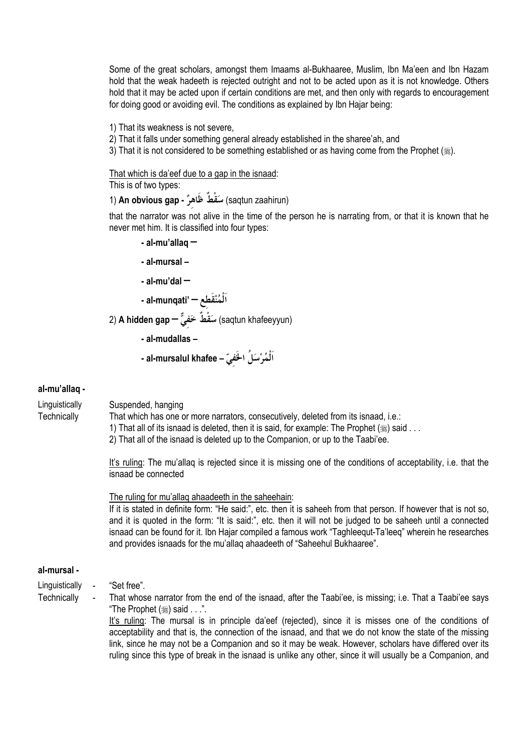Some of the great scholars, amongst them Imaams al-Bukhaaree, Muslim, Ibn Ma'een and Ibn Hazam hold that the weak hadeeth is rejected outright and not to be acted upon as it is not knowledge. Others hold that it may be acted upon if certain conditions are met, and then only with regards to encouragement for doing good or avoiding evil. The conditions as explained by Ibn Hajar being:

1) That its weakness is not severe.

- 2) That it falls under something general already established in the sharee'ah, and
- 3) That it is not considered to be something established or as having come from the Prophet ( $\gg$ ).

That which is da'eef due to a gap in the isnaad:

This is of two types:

(saqtun zaahirun) سَقْطٌ ظَاهرٌ - An obvious gap (1

that the narrator was not alive in the time of the person he is narrating from, or that it is known that he never met him. It is classified into four types:

- $-$  al-mu'allaq  $-$
- al-mursal -
- $-$  al-mu'dal  $-$

- al-munqati' — اَلْمُنْقَطع —

(saqtun khafeeyyun) سَقْطٌ خَفيٌّ (saqtun khafeeyyun)

- al-mudallas -
- اَلْمُرْسَلُ الخَفيّ al-mursalul khafee -

### al-mu'allaq -

Linguistically Technically

Suspended, hanging

That which has one or more narrators, consecutively, deleted from its isnaad, i.e.:

1) That all of its isnaad is deleted, then it is said, for example: The Prophet ( $\equiv$ ) said ...

2) That all of the isnaad is deleted up to the Companion, or up to the Taabi'ee.

It's ruling: The mu'allag is rejected since it is missing one of the conditions of acceptability, i.e. that the isnaad be connected

The ruling for mu'allag ahaadeeth in the saheehain:

If it is stated in definite form: "He said:", etc. then it is saheeh from that person. If however that is not so, and it is quoted in the form: "It is said:", etc. then it will not be judged to be saheeh until a connected isnaad can be found for it. Ibn Hajar compiled a famous work "Taghleegut-Ta'leeg" wherein he researches and provides isnaads for the mu'allag ahaadeeth of "Saheehul Bukhaaree".

### al-mursal -

- Linguistically "Set free".
- Technically

That whose narrator from the end of the isnaad, after the Taabi'ee, is missing; i.e. That a Taabi'ee says "The Prophet (,said . . .".

It's ruling: The mursal is in principle da'eef (rejected), since it is misses one of the conditions of acceptability and that is, the connection of the isnaad, and that we do not know the state of the missing link, since he may not be a Companion and so it may be weak. However, scholars have differed over its ruling since this type of break in the isnaad is unlike any other, since it will usually be a Companion, and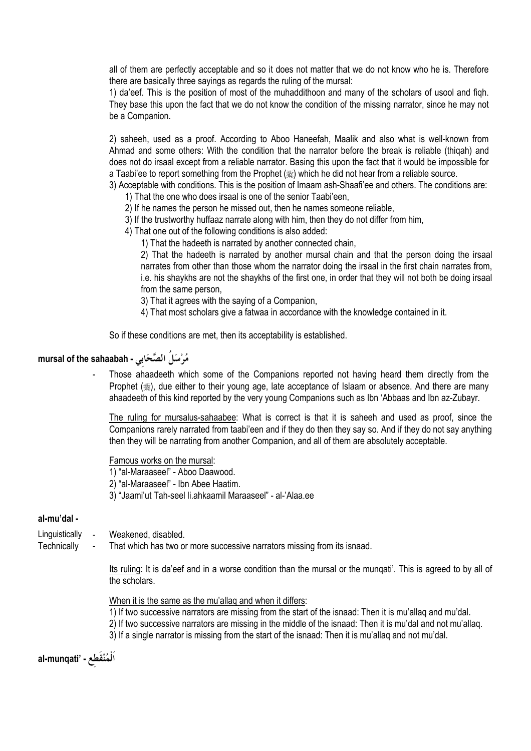all of them are perfectly acceptable and so it does not matter that we do not know who he is. Therefore there are basically three sayings as regards the ruling of the mursal:

1) da'eef. This is the position of most of the muhaddithoon and many of the scholars of usool and figh. They base this upon the fact that we do not know the condition of the missing narrator, since he may not be a Companion.

2) saheeh, used as a proof. According to Aboo Haneefah, Maalik and also what is well-known from Ahmad and some others: With the condition that the narrator before the break is reliable (thigah) and does not do irsaal except from a reliable narrator. Basing this upon the fact that it would be impossible for a Taabi'ee to report something from the Prophet ( $\frac{1}{20}$ ) which he did not hear from a reliable source.

3) Acceptable with conditions. This is the position of Imaam ash-Shaafi'ee and others. The conditions are: 1) That the one who does irsaal is one of the senior Taabi'een.

2) If he names the person he missed out, then he names someone reliable,

3) If the trustworthy huffaaz narrate along with him, then they do not differ from him,

4) That one out of the following conditions is also added:

1) That the hadeeth is narrated by another connected chain,

2) That the hadeeth is narrated by another mursal chain and that the person doing the irsaal narrates from other than those whom the narrator doing the irsaal in the first chain narrates from, i.e. his shaykhs are not the shaykhs of the first one, in order that they will not both be doing irsaal from the same person.

3) That it agrees with the saying of a Companion,

4) That most scholars give a fatwaa in accordance with the knowledge contained in it.

So if these conditions are met, then its acceptability is established.

# mursal of the sahaabah - مُرْسَلُ الصَّحَابِي

Those ahaadeeth which some of the Companions reported not having heard them directly from the Prophet (,), due either to their young age, late acceptance of Islaam or absence. And there are many ahaadeeth of this kind reported by the very young Companions such as Ibn 'Abbaas and Ibn az-Zubayr.

The ruling for mursalus-sahaabee: What is correct is that it is saheeh and used as proof, since the Companions rarely narrated from taabi'een and if they do then they say so. And if they do not say anything then they will be narrating from another Companion, and all of them are absolutely acceptable.

Famous works on the mursal:

1) "al-Maraaseel" - Aboo Daawood.

2) "al-Maraaseel" - Ibn Abee Haatim.

3) "Jaami'ut Tah-seel li.ahkaamil Maraaseel" - al-'Alaa.ee

### al-mu'dal -

- Weakened, disabled. Linguistically -
- That which has two or more successive narrators missing from its isnaad. Technically

Its ruling: It is da'eef and in a worse condition than the mursal or the mungati'. This is agreed to by all of the scholars.

When it is the same as the mu'allag and when it differs:

- 1) If two successive narrators are missing from the start of the isnaad: Then it is mu'allaq and mu'dal.
- 2) If two successive narrators are missing in the middle of the isnaad: Then it is mu'dal and not mu'allaq.
- 3) If a single narrator is missing from the start of the isnaad: Then it is mu'allaq and not mu'dal.

al-munqati' - اَلْمُنْقَطع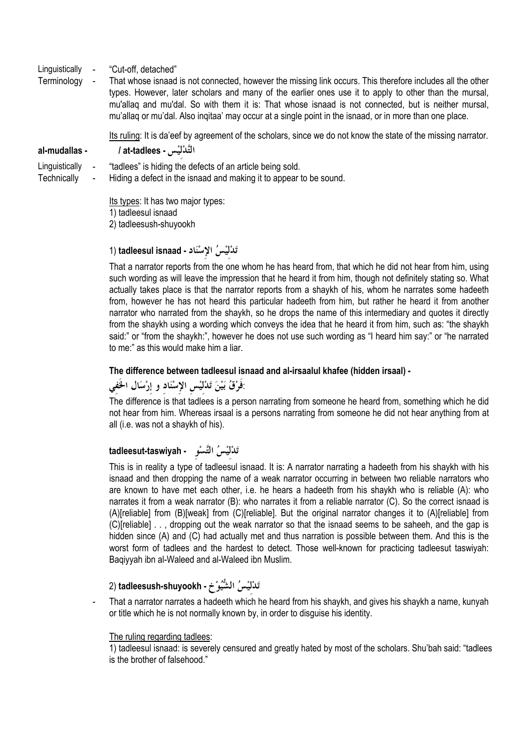- Linguistically "Cut-off, detached"
- Terminology That whose isnaad is not connected, however the missing link occurs. This therefore includes all the other types. However, later scholars and many of the earlier ones use it to apply to other than the mursal, mu'allag and mu'dal. So with them it is: That whose isnaad is not connected, but is neither mursal, mu'allag or mu'dal. Also ingitaa' may occur at a single point in the isnaad, or in more than one place.

Its ruling: It is da'eef by agreement of the scholars, since we do not know the state of the missing narrator.

#### al-mudallas -

Linguistically "tadlees" is hiding the defects of an article being sold.

التَّدْليْس - at-tadlees /

Technically Hiding a defect in the isnaad and making it to appear to be sound.

> Its types: It has two major types: 1) tadleesul isnaad 2) tadleesush-shuyookh

# تَدْلَيْسُ الإِسْنَادِ - tadleesul isnaad (1

That a narrator reports from the one whom he has heard from, that which he did not hear from him, using such wording as will leave the impression that he heard it from him, though not definitely stating so. What actually takes place is that the narrator reports from a shaykh of his, whom he narrates some hadeeth from, however he has not heard this particular hadeeth from him, but rather he heard it from another narrator who narrated from the shaykh, so he drops the name of this intermediary and quotes it directly from the shaykh using a wording which conveys the idea that he heard it from him, such as: "the shaykh said:" or "from the shaykh:", however he does not use such wording as "I heard him say:" or "he narrated to me:" as this would make him a liar.

### The difference between tadleesul isnaad and al-irsaalul khafee (hidden irsaal) -

# :فَوْقُ بَيْنَ تَدْلَيْسِ الإِسْنَادِ وِ إِرْسَالِ الْحَفِي

The difference is that tadlees is a person narrating from someone he heard from, something which he did not hear from him. Whereas irsaal is a persons narrating from someone he did not hear anything from at all (i.e. was not a shaykh of his).

# تَدْلَيْسُ التَّسْوِ tadleesut-taswiyah

This is in reality a type of tadleesul isnaad. It is: A narrator narrating a hadeeth from his shaykh with his isnaad and then dropping the name of a weak narrator occurring in between two reliable narrators who are known to have met each other, i.e. he hears a hadeeth from his shaykh who is reliable (A): who narrates it from a weak narrator (B): who narrates it from a reliable narrator (C). So the correct isnaad is (A)[reliable] from (B)[weak] from (C)[reliable]. But the original narrator changes it to (A)[reliable] from (C)[reliable] . . . dropping out the weak narrator so that the isnaad seems to be saheeh, and the gap is hidden since (A) and (C) had actually met and thus narration is possible between them. And this is the worst form of tadlees and the hardest to detect. Those well-known for practicing tadleesut taswiyah: Baqiyyah ibn al-Waleed and al-Waleed ibn Muslim.

# تَدْلَيْسُ الشُّيُوْخِ - tadleesush-shuyookh (2

That a narrator narrates a hadeeth which he heard from his shaykh, and gives his shaykh a name, kunyah or title which he is not normally known by, in order to disguise his identity.

### The ruling regarding tadlees:

1) tadleesul isnaad: is severely censured and greatly hated by most of the scholars. Shu'bah said: "tadlees is the brother of falsehood."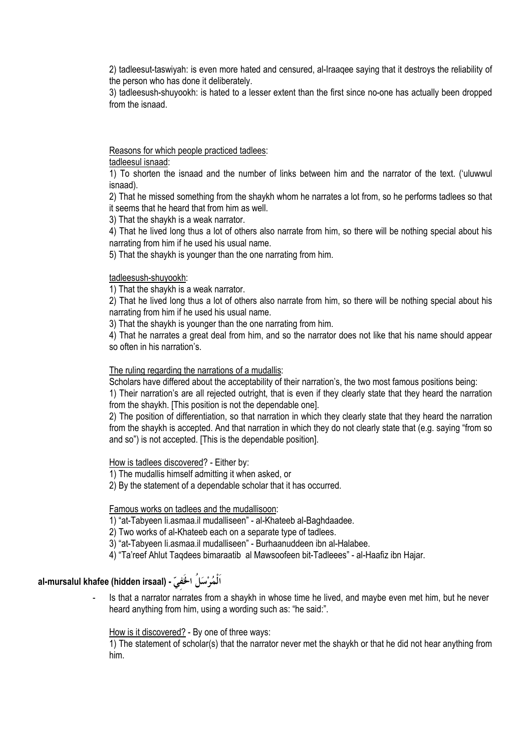2) tadleesut-taswiyah: is even more hated and censured, al-Iraagee saying that it destroys the reliability of the person who has done it deliberately.

3) tadleesush-shuyookh: is hated to a lesser extent than the first since no-one has actually been dropped from the isnaad

Reasons for which people practiced tadlees:

tadleesul isnaad:

1) To shorten the isnaad and the number of links between him and the narrator of the text. ('uluwwul isnaad).

2) That he missed something from the shaykh whom he narrates a lot from, so he performs tadlees so that it seems that he heard that from him as well.

3) That the shaykh is a weak narrator.

4) That he lived long thus a lot of others also narrate from him, so there will be nothing special about his narrating from him if he used his usual name.

5) That the shaykh is younger than the one narrating from him.

tadleesush-shuyookh:

1) That the shaykh is a weak narrator.

2) That he lived long thus a lot of others also narrate from him, so there will be nothing special about his narrating from him if he used his usual name.

3) That the shaykh is younger than the one narrating from him.

4) That he narrates a great deal from him, and so the narrator does not like that his name should appear so often in his narration's.

### The ruling regarding the narrations of a mudallis:

Scholars have differed about the acceptability of their narration's, the two most famous positions being:

1) Their narration's are all rejected outright, that is even if they clearly state that they heard the narration from the shaykh. [This position is not the dependable one].

2) The position of differentiation, so that narration in which they clearly state that they heard the narration from the shaykh is accepted. And that narration in which they do not clearly state that (e.g. saying "from so and so") is not accepted. [This is the dependable position].

How is tadlees discovered? - Either by:

1) The mudallis himself admitting it when asked, or

2) By the statement of a dependable scholar that it has occurred.

Famous works on tadlees and the mudallisoon:

1) "at-Tabyeen li.asmaa.il mudalliseen" - al-Khateeb al-Baghdaadee.

2) Two works of al-Khateeb each on a separate type of tadlees.

3) "at-Tabyeen li.asmaa.il mudalliseen" - Burhaanuddeen ibn al-Halabee.

4) "Ta'reef Ahlut Tagdees bimaraatib al Mawsoofeen bit-Tadleees" - al-Haafiz ibn Hajar.

# al-mursalul khafee (hidden irsaal) - آلْمُرْسَلُ ۱- al-mursalul khafee

Is that a narrator narrates from a shaykh in whose time he lived, and maybe even met him, but he never heard anything from him, using a wording such as: "he said:".

# How is it discovered? - By one of three ways:

1) The statement of scholar(s) that the narrator never met the shaykh or that he did not hear anything from him.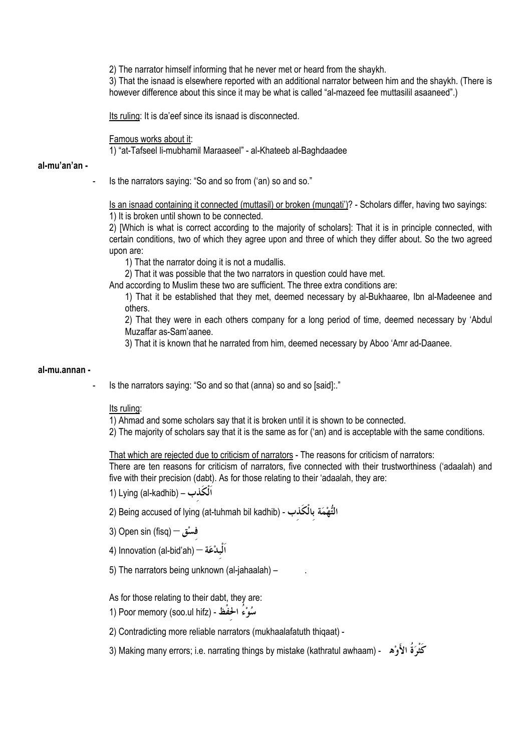2) The narrator himself informing that he never met or heard from the shaykh.

3) That the isnaad is elsewhere reported with an additional narrator between him and the shaykh. (There is however difference about this since it may be what is called "al-mazeed fee muttasilil asaaneed".)

Its ruling: It is da'eef since its isnaad is disconnected.

#### Famous works about it:

1) "at-Tafseel li-mubhamil Maraaseel" - al-Khateeb al-Baghdaadee

#### al-mu'an'an -

Is the narrators saying: "So and so from ('an) so and so."

Is an isnaad containing it connected (muttasil) or broken (mungati')? - Scholars differ, having two sayings: 1) It is broken until shown to be connected.

2) [Which is what is correct according to the majority of scholars]: That it is in principle connected, with certain conditions, two of which they agree upon and three of which they differ about. So the two agreed upon are:

1) That the narrator doing it is not a mudallis.

2) That it was possible that the two narrators in question could have met.

And according to Muslim these two are sufficient. The three extra conditions are:

1) That it be established that they met, deemed necessary by al-Bukhaaree, Ibn al-Madeenee and others.

2) That they were in each others company for a long period of time, deemed necessary by 'Abdul Muzaffar as-Sam'aanee.

3) That it is known that he narrated from him, deemed necessary by Aboo 'Amr ad-Daanee.

#### al-mu.annan -

Is the narrators saying: "So and so that (anna) so and so [said]:."

### Its rulina:

1) Ahmad and some scholars say that it is broken until it is shown to be connected.

2) The majority of scholars say that it is the same as for ('an) and is acceptable with the same conditions.

That which are rejected due to criticism of narrators - The reasons for criticism of narrators:

There are ten reasons for criticism of narrators, five connected with their trustworthiness ('adaalah) and five with their precision (dabt). As for those relating to their 'adaalah, they are:

1) Lying (al-kadhib) – الْكُذب

التُّهْمَة بِالْكَذب - (Being accused of lying (at-tuhmah bil kadhib (2

- 3) Open sin (fisq) فَسْق
- 4) Innovation (al-bid'ah) اَلْبِدْعَة
- 5) The narrators being unknown (al-jahaalah) -

As for those relating to their dabt, they are:

1) Poor memory (soo.ul hifz) - شُوْءُ الحُفْظ -

2) Contradicting more reliable narrators (mukhaalafatuth thiqaat) -

كَثْرَ ةُ الأَوْهِ - (Making many errors; i.e. narrating things by mistake (kathratul awhaam) كَثْرَةُ الأَوْه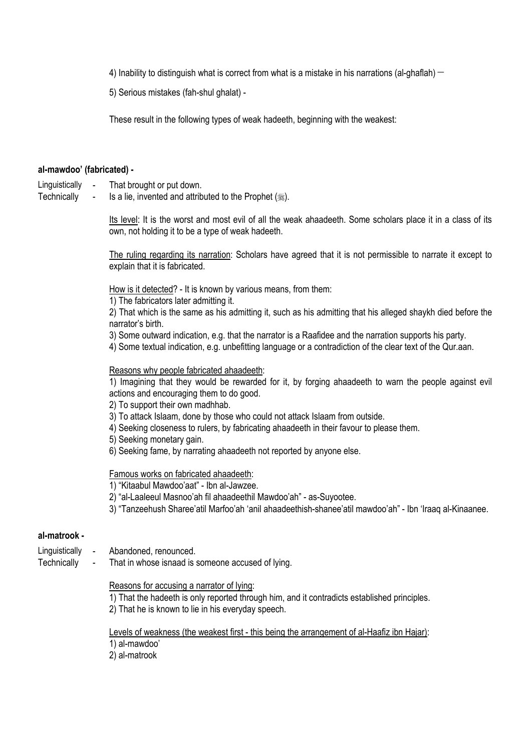4) Inability to distinguish what is correct from what is a mistake in his narrations (al-ghaflah)  $-$ 

5) Serious mistakes (fah-shul ghalat) -

These result in the following types of weak hadeeth, beginning with the weakest:

### al-mawdoo' (fabricated) -

- Linguistically That brought or put down.
- Technically Is a lie, invented and attributed to the Prophet (.).  $\blacksquare$

Its level: It is the worst and most evil of all the weak ahaadeeth. Some scholars place it in a class of its own, not holding it to be a type of weak hadeeth.

The ruling regarding its narration: Scholars have agreed that it is not permissible to narrate it except to explain that it is fabricated.

How is it detected? - It is known by various means, from them:

1) The fabricators later admitting it.

2) That which is the same as his admitting it, such as his admitting that his alleged shaykh died before the narrator's birth.

3) Some outward indication, e.g. that the narrator is a Raafidee and the narration supports his party.

4) Some textual indication, e.g. unbefitting language or a contradiction of the clear text of the Qur.aan.

### Reasons why people fabricated ahaadeeth:

1) Imagining that they would be rewarded for it, by forging ahaadeeth to warn the people against evil actions and encouraging them to do good.

2) To support their own madhhab.

- 3) To attack Islaam, done by those who could not attack Islaam from outside.
- 4) Seeking closeness to rulers, by fabricating ahaadeeth in their favour to please them.
- 5) Seeking monetary gain.
- 6) Seeking fame, by narrating ahaadeeth not reported by anyone else.

### Famous works on fabricated ahaadeeth:

1) "Kitaabul Mawdoo'aat" - Ibn al-Jawzee.

- 2) "al-Laaleeul Masnoo'ah fil ahaadeethil Mawdoo'ah" as-Suyootee.
- 3) "Tanzeehush Sharee'atil Marfoo'ah 'anil ahaadeethish-shanee'atil mawdoo'ah" Ibn 'Iraaq al-Kinaanee.

### al-matrook -

- Linguistically Abandoned, renounced.
- Technically That in whose isnaad is someone accused of lying.

### Reasons for accusing a narrator of lying:

- 1) That the hadeeth is only reported through him, and it contradicts established principles.
- 2) That he is known to lie in his everyday speech.

### Levels of weakness (the weakest first - this being the arrangement of al-Haafiz ibn Hajar):

1) al-mawdoo'

2) al-matrook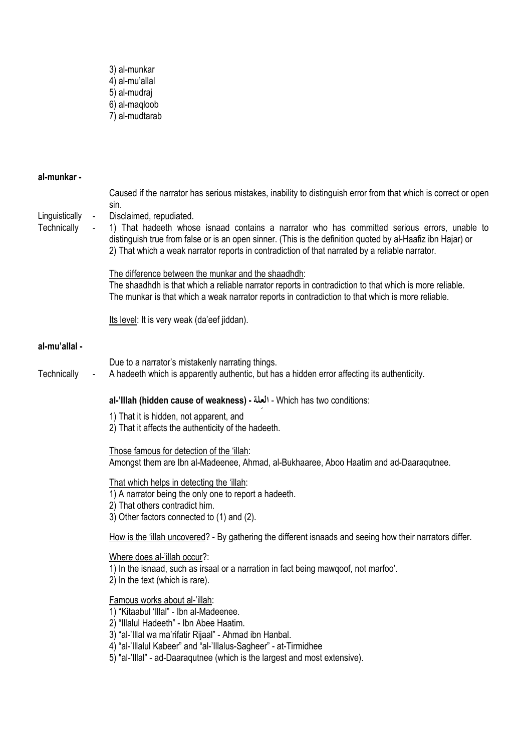- 3) al-munkar<br>4) al-mu'allal  $-5$ ) al-mudraj<br> $6$ ) al-maqloob<br> $7$ ) al-mudtarab
- al-munkar -

| Linguistically | $\blacksquare$ | Caused if the narrator has serious mistakes, inability to distinguish error from that which is correct or open<br>sin.<br>Disclaimed, repudiated.                                                                                                                                                              |
|----------------|----------------|----------------------------------------------------------------------------------------------------------------------------------------------------------------------------------------------------------------------------------------------------------------------------------------------------------------|
| Technically    |                | 1) That hadeeth whose isnaad contains a narrator who has committed serious errors, unable to<br>distinguish true from false or is an open sinner. (This is the definition quoted by al-Haafiz ibn Hajar) or<br>2) That which a weak narrator reports in contradiction of that narrated by a reliable narrator. |
|                |                | The difference between the munkar and the shaadhdh:<br>The shaadhdh is that which a reliable narrator reports in contradiction to that which is more reliable.<br>The munkar is that which a weak narrator reports in contradiction to that which is more reliable.                                            |
|                |                | Its level: It is very weak (da'eef jiddan).                                                                                                                                                                                                                                                                    |
| al-mu'allal -  |                |                                                                                                                                                                                                                                                                                                                |
| Technically    |                | Due to a narrator's mistakenly narrating things.<br>A hadeeth which is apparently authentic, but has a hidden error affecting its authenticity.                                                                                                                                                                |
|                |                | al-'Illah (hidden cause of weakness) - العلة - Which has two conditions:                                                                                                                                                                                                                                       |
|                |                | 1) That it is hidden, not apparent, and<br>2) That it affects the authenticity of the hadeeth.                                                                                                                                                                                                                 |
|                |                | Those famous for detection of the 'illah:<br>Amongst them are Ibn al-Madeenee, Ahmad, al-Bukhaaree, Aboo Haatim and ad-Daaraqutnee.                                                                                                                                                                            |
|                |                | That which helps in detecting the 'illah:<br>1) A narrator being the only one to report a hadeeth.<br>2) That others contradict him.<br>3) Other factors connected to (1) and (2).                                                                                                                             |
|                |                | How is the 'illah uncovered? - By gathering the different isnaads and seeing how their narrators differ.                                                                                                                                                                                                       |
|                |                | Where does al-'illah occur?:<br>1) In the isnaad, such as irsaal or a narration in fact being mawqoof, not marfoo'.<br>2) In the text (which is rare).                                                                                                                                                         |
|                |                | Famous works about al-'illah:<br>1) "Kitaabul 'Illal" - Ibn al-Madeenee.<br>2) "Illalul Hadeeth" - Ibn Abee Haatim.<br>3) "al-'Illal wa ma'rifatir Rijaal" - Ahmad ibn Hanbal.<br>4) "al-'Illalul Kabeer" and "al-'Illalus-Sagheer" - at-Tirmidhee                                                             |

5) "al-'Illal" - ad-Daaraqutnee (which is the largest and most extensive).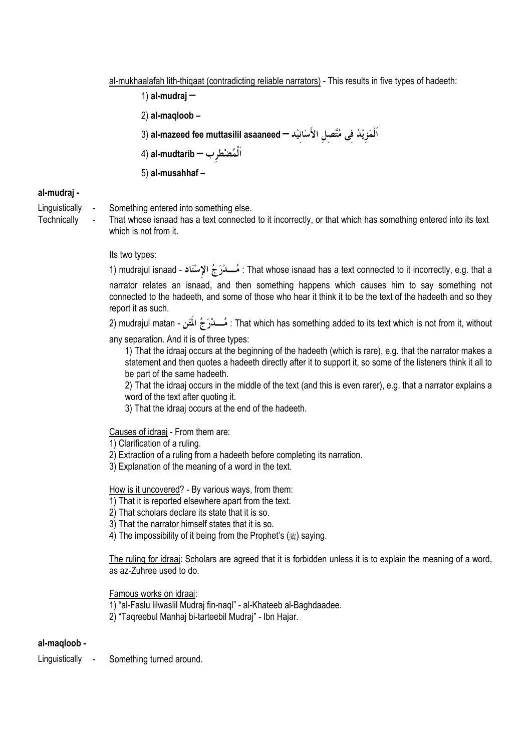al-mukhaalafah lith-thigaat (contradicting reliable narrators) - This results in five types of hadeeth:

1) al-mudraj - $2)$  al-magloob -اَلْمَزِيْدُ فِي مُتَّصِلِ الأَسَانِيْد — al-mazeed fee muttasilil asaaneed (3 اَلْمُضْطرب — al-mudtarib (4 5) al-musahhaf-

## al-mudraj -

- Linguistically Something entered into something else.
- Technically

That whose isnaad has a text connected to it incorrectly, or that which has something entered into its text which is not from it.

### Its two types:

1) mudrajul isnaad - مُسلاَرَ جُ الإِسْنَاد : That whose isnaad has a text connected to it incorrectly, e.g. that a narrator relates an isnaad, and then something happens which causes him to say something not connected to the hadeeth, and some of those who hear it think it to be the text of the hadeeth and so they

report it as such. 2) mudrajul matan - مُسلاَرَ جُ الْمَتَنِ That which has something added to its text which is not from it, without

any separation. And it is of three types:

1) That the idraaj occurs at the beginning of the hadeeth (which is rare), e.g. that the narrator makes a statement and then quotes a hadeeth directly after it to support it, so some of the listeners think it all to be part of the same hadeeth.

2) That the idraaj occurs in the middle of the text (and this is even rarer), e.g. that a narrator explains a word of the text after quoting it.

3) That the idraaj occurs at the end of the hadeeth.

# Causes of idraaj - From them are:

1) Clarification of a ruling.

- 2) Extraction of a ruling from a hadeeth before completing its narration.
- 3) Explanation of the meaning of a word in the text.

How is it uncovered? - By various ways, from them:

1) That it is reported elsewhere apart from the text.

2) That scholars declare its state that it is so.

3) That the narrator himself states that it is so.

4) The impossibility of it being from the Prophet's (.) saving.

The ruling for idraaj: Scholars are agreed that it is forbidden unless it is to explain the meaning of a word, as az-Zuhree used to do.

Famous works on idraai:

1) "al-Faslu lilwaslil Mudraj fin-nagl" - al-Khateeb al-Baghdaadee.

2) "Taqreebul Manhaj bi-tarteebil Mudraj" - Ibn Hajar.

# al-magloob -

Linguistically Something turned around.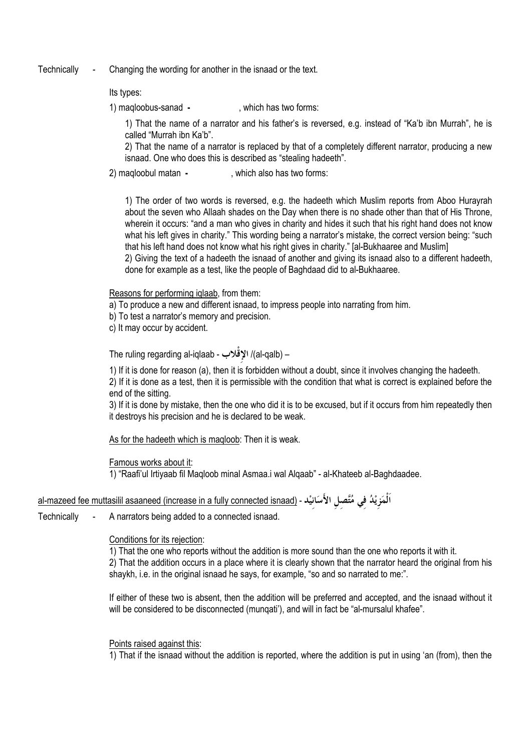Technically Changing the wording for another in the isnaad or the text.

### Its types:

1) magloobus-sanad -. which has two forms:

1) That the name of a narrator and his father's is reversed, e.g. instead of "Ka'b ibn Murrah", he is called "Murrah ibn Ka'b".

2) That the name of a narrator is replaced by that of a completely different narrator, producing a new isnaad. One who does this is described as "stealing hadeeth".

2) magloobul matan -. which also has two forms:

1) The order of two words is reversed, e.g. the hadeeth which Muslim reports from Aboo Hurayrah about the seven who Allaah shades on the Day when there is no shade other than that of His Throne. wherein it occurs: "and a man who gives in charity and hides it such that his right hand does not know what his left gives in charity." This wording being a narrator's mistake, the correct version being: "such that his left hand does not know what his right gives in charity." [al-Bukhaaree and Muslim] 2) Giving the text of a hadeeth the isnaad of another and giving its isnaad also to a different hadeeth,

done for example as a test, like the people of Baghdaad did to al-Bukhaaree.

Reasons for performing iglaab, from them:

- a) To produce a new and different isnaad, to impress people into narrating from him.
- b) To test a narrator's memory and precision.
- c) It may occur by accident.

– (al-qalb) الإقْلاب - The ruling regarding al-iqlaab

1) If it is done for reason (a), then it is forbidden without a doubt, since it involves changing the hadeeth. 2) If it is done as a test, then it is permissible with the condition that what is correct is explained before the

end of the sitting.

3) If it is done by mistake, then the one who did it is to be excused, but if it occurs from him repeatedly then it destroys his precision and he is declared to be weak.

As for the hadeeth which is magloob: Then it is weak.

Famous works about it:

1) "Raafi'ul Irtiyaab fil Magloob minal Asmaa.i wal Algaab" - al-Khateeb al-Baghdaadee.

| المَزِيْدُ فِي مُتَّصِلِ الأَسَانِيْد - <u>(al-mazeed fee muttasilil asaaneed (increase in a fully connected isnaad</u> |  |  |  |
|-------------------------------------------------------------------------------------------------------------------------|--|--|--|
|                                                                                                                         |  |  |  |

Technically A narrators being added to a connected isnaad.

### Conditions for its rejection:

1) That the one who reports without the addition is more sound than the one who reports it with it. 2) That the addition occurs in a place where it is clearly shown that the narrator heard the original from his shaykh, i.e. in the original isnaad he says, for example, "so and so narrated to me:".

If either of these two is absent, then the addition will be preferred and accepted, and the isnaad without it will be considered to be disconnected (mungati'), and will in fact be "al-mursalul khafee".

Points raised against this:

1) That if the isnaad without the addition is reported, where the addition is put in using 'an (from), then the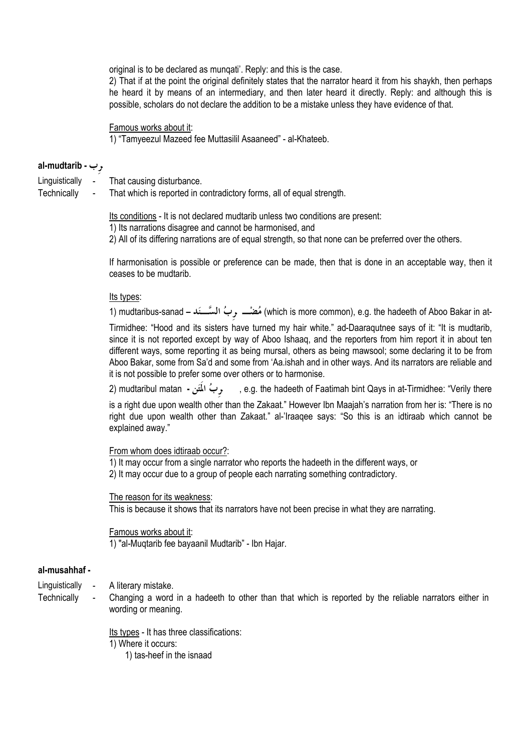original is to be declared as mungati'. Reply: and this is the case.

2) That if at the point the original definitely states that the narrator heard it from his shaykh, then perhaps he heard it by means of an intermediary, and then later heard it directly. Reply: and although this is possible, scholars do not declare the addition to be a mistake unless they have evidence of that.

Famous works about it:

1) "Tamyeezul Mazeed fee Muttasilil Asaaneed" - al-Khateeb.

## al-mudtarib -  $\psi$

- Linguistically -That causing disturbance.
- Technically
- - $\mathbb{L}$ That which is reported in contradictory forms, all of equal strength.

Its conditions - It is not declared mudtarib unless two conditions are present:

1) Its narrations disagree and cannot be harmonised, and

2) All of its differing narrations are of equal strength, so that none can be preferred over the others.

If harmonisation is possible or preference can be made, then that is done in an acceptable way, then it ceases to be mudtarib

### Its types:

-1) mudtaribus-sanad – المُضْلِّبِ , بِّ السَّــِـنَد (which is more common), e.g. the hadeeth of Aboo Bakar in at-

Tirmidhee: "Hood and its sisters have turned my hair white." ad-Daaragutnee says of it: "It is mudtarib, since it is not reported except by way of Aboo Ishaag, and the reporters from him report it in about ten different ways, some reporting it as being mursal, others as being mawsool; some declaring it to be from Aboo Bakar, some from Sa'd and some from 'Aa.ishah and in other ways. And its narrators are reliable and it is not possible to prefer some over others or to harmonise.

وبُ الْمَتَنِ - mudtaribul matan (2 e.g. the hadeeth of Faatimah bint Qays in at-Tirmidhee: "Verily there is a right due upon wealth other than the Zakaat." However Ibn Maajah's narration from her is: "There is no right due upon wealth other than Zakaat." al-'Iraaqee says: "So this is an idtiraab which cannot be explained away."

### From whom does idtiraab occur?:

1) It may occur from a single narrator who reports the hadeeth in the different ways, or 2) It may occur due to a group of people each narrating something contradictory.

The reason for its weakness: This is because it shows that its narrators have not been precise in what they are narrating.

Famous works about it: 1) "al-Mugtarib fee bayaanil Mudtarib" - Ibn Hajar.

### al-musahhaf -

- Linguistically A literary mistake.
- Technically
- 
- Changing a word in a hadeeth to other than that which is reported by the reliable narrators either in wording or meaning.

Its types - It has three classifications:

1) Where it occurs:

1) tas-heef in the isnaad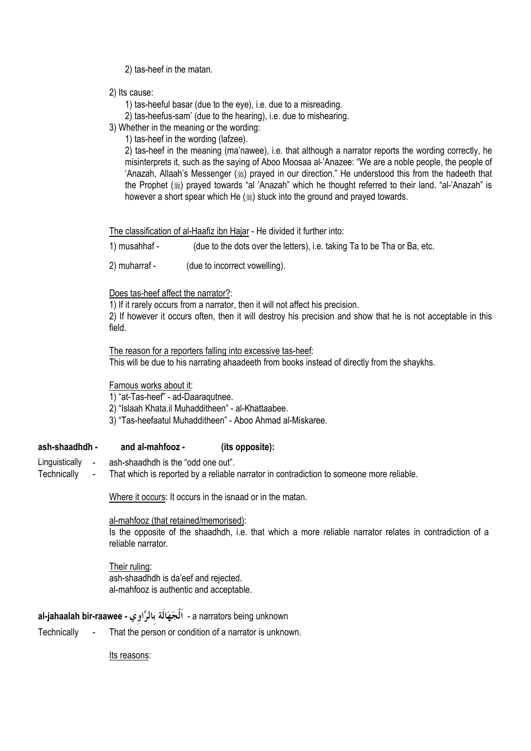2) tas-heef in the matan.

- 2) Its cause:
	- 1) tas-heeful basar (due to the eye), i.e. due to a misreading.
	- 2) tas-heefus-sam' (due to the hearing), i.e. due to mishearing.
- 3) Whether in the meaning or the wording:
	- 1) tas-heef in the wording (lafzee).

2) tas-heef in the meaning (ma'nawee), i.e. that although a narrator reports the wording correctly, he misinterprets it, such as the saving of Aboo Moosaa al-'Anazee: "We are a noble people, the people of 'Anazah, Allaah's Messenger () prayed in our direction." He understood this from the hadeeth that the Prophet () prayed towards "al 'Anazah" which he thought referred to their land. "al-'Anazah" is however a short spear which He (,) stuck into the ground and prayed towards.

The classification of al-Haafiz ibn Hajar - He divided it further into:

1) musahhaf -(due to the dots over the letters), i.e. taking Ta to be Tha or Ba, etc.

2) muharraf -(due to incorrect vowelling).

### Does tas-heef affect the narrator?:

1) If it rarely occurs from a narrator, then it will not affect his precision.

2) If however it occurs often, then it will destroy his precision and show that he is not acceptable in this field.

The reason for a reporters falling into excessive tas-heef: This will be due to his narrating ahaadeeth from books instead of directly from the shaykhs.

Famous works about it:

1) "at-Tas-heef" - ad-Daaragutnee.

- 2) "Islaah Khata.il Muhadditheen" al-Khattaabee.
- 3) "Tas-heefaatul Muhadditheen" Aboo Ahmad al-Miskaree.

#### and al-mahfooz ash-shaadhdh -(its opposite):

- Linguistically ash-shaadhdh is the "odd one out".
- Technically That which is reported by a reliable narrator in contradiction to someone more reliable.

Where it occurs: It occurs in the isnaad or in the matan.

al-mahfooz (that retained/memorised):

Is the opposite of the shaadhdh, i.e. that which a more reliable narrator relates in contradiction of a reliable narrator

Their ruling: ash-shaadhdh is da'eef and rejected. al-mahfooz is authentic and acceptable.

# al-jahaalah bir-raawee - اَلْجَهَالَة بالرَّاوِي - a narrators being unknown

Technically That the person or condition of a narrator is unknown.

Its reasons: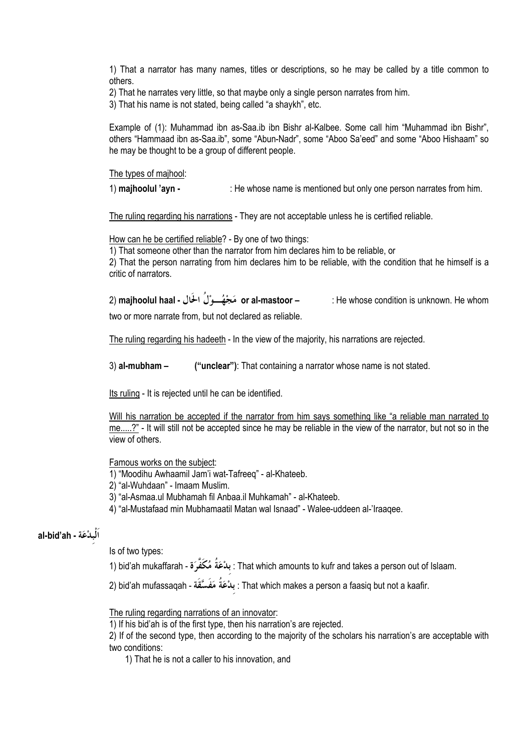1) That a narrator has many names, titles or descriptions, so he may be called by a title common to others.

2) That he narrates very little, so that maybe only a single person narrates from him.

3) That his name is not stated, being called "a shaykh", etc.

Example of (1): Muhammad ibn as-Saa.ib ibn Bishr al-Kalbee. Some call him "Muhammad ibn Bishr", others "Hammaad ibn as-Saa.ib", some "Abun-Nadr", some "Aboo Sa'eed" and some "Aboo Hishaam" so he may be thought to be a group of different people.

### The types of majhool:

1) majhoolul 'ayn -: He whose name is mentioned but only one person narrates from him.

The ruling regarding his narrations - They are not acceptable unless he is certified reliable.

How can he be certified reliable? - By one of two things:

1) That someone other than the narrator from him declares him to be reliable, or

2) That the person narrating from him declares him to be reliable, with the condition that he himself is a critic of narrators.

two or more narrate from, but not declared as reliable.

The ruling regarding his hadeeth - In the view of the majority, his narrations are rejected.

 $3)$  al-mubham  $-$ ("unclear"): That containing a narrator whose name is not stated.

Its ruling - It is rejected until he can be identified.

Will his narration be accepted if the narrator from him says something like "a reliable man narrated to me.....?" - It will still not be accepted since he may be reliable in the view of the narrator, but not so in the  $\overline{\mathsf{view}}$  of others.

Famous works on the subject:

1) "Moodihu Awhaamil Jam'i wat-Tafreeg" - al-Khateeb.

2) "al-Wuhdaan" - Imaam Muslim.

3) "al-Asmaa.ul Mubhamah fil Anbaa.il Muhkamah" - al-Khateeb.

4) "al-Mustafaad min Mubhamaatil Matan wal Isnaad" - Walee-uddeen al-'Iraagee.

# al-bid'ah - اَلْبِدْعَة -

Is of two types:

. That which amounts to kufr and takes a person out of Islaam: بدْعَةُ مُكَفَّرَة - bid'ah mukaffarah

2) bid'ah mufassaqah - بِدْعَةَ مَفَسَّقَةِ : That which makes a person a faasiq but not a kaafir.

The ruling regarding narrations of an innovator:

1) If his bid'ah is of the first type, then his narration's are rejected.

2) If of the second type, then according to the majority of the scholars his narration's are acceptable with two conditions:

1) That he is not a caller to his innovation, and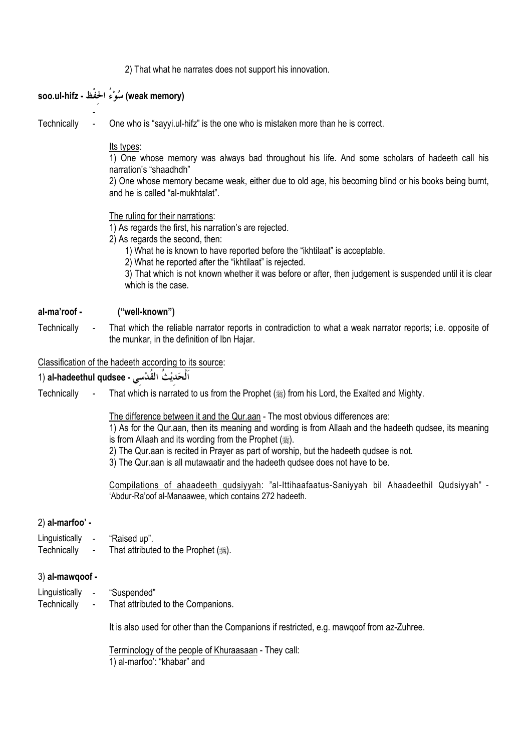2) That what he narrates does not support his innovation.

|                               | (weak memory) سُوْءُ الحَفْظ - soo.ul-hifz                                                                                                                                                                                                                                                                                                                                                                                |
|-------------------------------|---------------------------------------------------------------------------------------------------------------------------------------------------------------------------------------------------------------------------------------------------------------------------------------------------------------------------------------------------------------------------------------------------------------------------|
| Technically                   | One who is "sayyi.ul-hifz" is the one who is mistaken more than he is correct.                                                                                                                                                                                                                                                                                                                                            |
|                               | Its types:<br>1) One whose memory was always bad throughout his life. And some scholars of hadeeth call his<br>narration's "shaadhdh"<br>2) One whose memory became weak, either due to old age, his becoming blind or his books being burnt,<br>and he is called "al-mukhtalat".                                                                                                                                         |
|                               | The ruling for their narrations:<br>1) As regards the first, his narration's are rejected.<br>2) As regards the second, then:<br>1) What he is known to have reported before the "ikhtilaat" is acceptable.<br>2) What he reported after the "ikhtilaat" is rejected.<br>3) That which is not known whether it was before or after, then judgement is suspended until it is clear<br>which is the case.                   |
| al-ma'roof -                  | ("well-known")                                                                                                                                                                                                                                                                                                                                                                                                            |
| Technically<br>$\sim 100$     | That which the reliable narrator reports in contradiction to what a weak narrator reports; i.e. opposite of<br>the munkar, in the definition of Ibn Hajar.                                                                                                                                                                                                                                                                |
|                               | Classification of the hadeeth according to its source:                                                                                                                                                                                                                                                                                                                                                                    |
|                               | اَلْحَديْثَ القَدْسي - al-hadeethul qudsee (1                                                                                                                                                                                                                                                                                                                                                                             |
| Technically<br>$\sim$ $-$     | That which is narrated to us from the Prophet ( $\frac{1}{20}$ ) from his Lord, the Exalted and Mighty.                                                                                                                                                                                                                                                                                                                   |
|                               | The difference between it and the Qur.aan - The most obvious differences are:<br>1) As for the Qur.aan, then its meaning and wording is from Allaah and the hadeeth qudsee, its meaning<br>is from Allaah and its wording from the Prophet (#).<br>2) The Qur.aan is recited in Prayer as part of worship, but the hadeeth qudsee is not.<br>3) The Qur.aan is all mutawaatir and the hadeeth qudsee does not have to be. |
|                               | Compilations of ahaadeeth qudsiyyah: "al-Ittihaafaatus-Saniyyah bil Ahaadeethil Qudsiyyah" -<br>'Abdur-Ra'oof al-Manaawee, which contains 272 hadeeth.                                                                                                                                                                                                                                                                    |
| 2) al-marfoo' -               |                                                                                                                                                                                                                                                                                                                                                                                                                           |
| Linguistically<br>Technically | "Raised up".<br>That attributed to the Prophet ().                                                                                                                                                                                                                                                                                                                                                                        |
| 3) al-mawqoof -               |                                                                                                                                                                                                                                                                                                                                                                                                                           |
| Linguistically<br>Technically | "Suspended"<br>That attributed to the Companions.                                                                                                                                                                                                                                                                                                                                                                         |
|                               | It is also used for other than the Companions if restricted, e.g. mawqoof from az-Zuhree.                                                                                                                                                                                                                                                                                                                                 |
|                               | Terminology of the people of Khuraasaan - They call:                                                                                                                                                                                                                                                                                                                                                                      |

1) al-marfoo': "khabar" and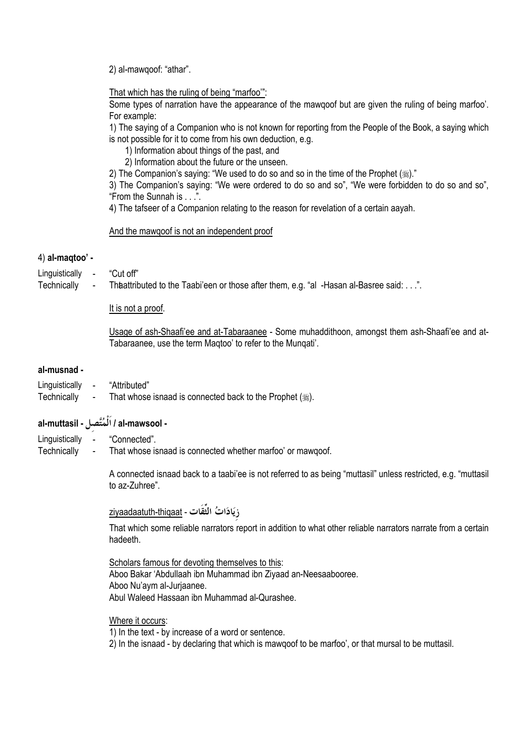2) al-mawgoof: "athar".

### That which has the ruling of being "marfoo":

Some types of narration have the appearance of the mawqoof but are given the ruling of being marfoo'. For example:

1) The saying of a Companion who is not known for reporting from the People of the Book, a saying which is not possible for it to come from his own deduction, e.g.

- 1) Information about things of the past, and
- 2) Information about the future or the unseen.
- 2) The Companion's saying: "We used to do so and so in the time of the Prophet (ﷺ)."

3) The Companion's saying: "We were ordered to do so and so", "We were forbidden to do so and so", "From the Sunnah is . . .".

4) The tafseer of a Companion relating to the reason for revelation of a certain aayah.

### And the mawgoof is not an independent proof

### 4) al-maqtoo' -

"Cut off" Linguistically

Technically Thaattributed to the Taabi'een or those after them, e.g. "al -Hasan al-Basree said: . . .".

### It is not a proof.

Usage of ash-Shaafi'ee and at-Tabaraanee - Some muhaddithoon, amongst them ash-Shaafi'ee and at-Tabaraanee, use the term Maqtoo' to refer to the Munqati'.

### al-musnad -

- Linquistically -"Attributed"
- Technically That whose isnaad is connected back to the Prophet (.).  $\mathbf{r}$

# - al-muttasil / اَلْمُتَّصل - al-muttasil

- Linguistically "Connected".
- Technically That whose isnaad is connected whether marfoo' or mawqoof.

A connected isnaad back to a taabi'ee is not referred to as being "muttasil" unless restricted, e.g. "muttasil to az-Zuhree"

ziyaadaatuth-thiqaat - ذِيَادَاتُ الثَّقَات

That which some reliable narrators report in addition to what other reliable narrators narrate from a certain hadeeth.

Scholars famous for devoting themselves to this: Aboo Bakar 'Abdullaah ibn Muhammad ibn Ziyaad an-Neesaabooree. Aboo Nu'aym al-Juriaanee. Abul Waleed Hassaan ibn Muhammad al-Qurashee.

Where it occurs:

1) In the text - by increase of a word or sentence.

2) In the isnaad - by declaring that which is mawqoof to be marfoo', or that mursal to be muttasil.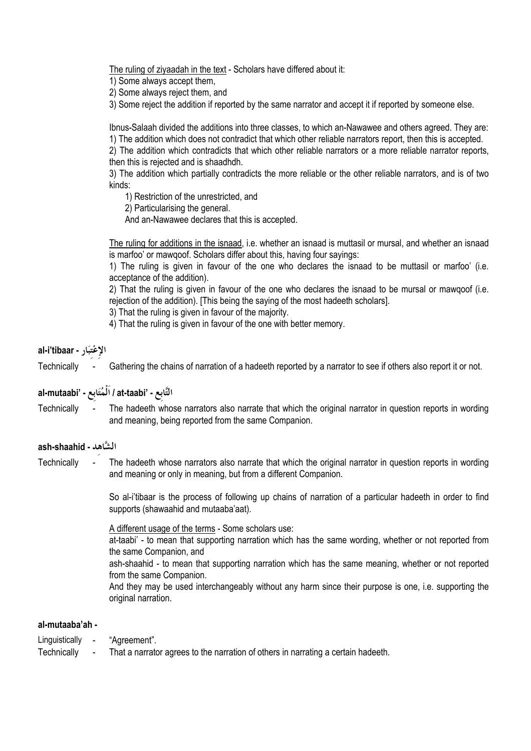The ruling of ziyaadah in the text - Scholars have differed about it:

1) Some always accept them,

2) Some always reject them, and

3) Some reject the addition if reported by the same narrator and accept it if reported by someone else.

Ibnus-Salaah divided the additions into three classes, to which an-Nawawee and others agreed. They are: 1) The addition which does not contradict that which other reliable narrators report, then this is accepted.

2) The addition which contradicts that which other reliable narrators or a more reliable narrator reports. then this is rejected and is shaadhdh.

3) The addition which partially contradicts the more reliable or the other reliable narrators, and is of two kinds:

1) Restriction of the unrestricted, and

2) Particularising the general.

And an-Nawawee declares that this is accepted.

The ruling for additions in the isnaad, i.e. whether an isnaad is muttasil or mursal, and whether an isnaad is marfoo' or mawgoof. Scholars differ about this, having four sayings:

1) The ruling is given in favour of the one who declares the isnaad to be muttasil or marfoo' (i.e. acceptance of the addition).

2) That the ruling is given in favour of the one who declares the isnaad to be mursal or mawgoof (i.e. rejection of the addition). [This being the saying of the most hadeeth scholars].

3) That the ruling is given in favour of the majority.

4) That the ruling is given in favour of the one with better memory.

# al-i'tibaar - الإعْتبَار

Gathering the chains of narration of a hadeeth reported by a narrator to see if others also report it or not. Technically

# al-mutaabi' - الْمُتَابِع - 'at-taabi

The hadeeth whose narrators also narrate that which the original narrator in question reports in wording Technically and meaning, being reported from the same Companion.

### ash-shaahid - الشَّاهد

Technically The hadeeth whose narrators also narrate that which the original narrator in question reports in wording and meaning or only in meaning, but from a different Companion.

> So al-i'tibaar is the process of following up chains of narration of a particular hadeeth in order to find supports (shawaahid and mutaaba'aat).

A different usage of the terms - Some scholars use:

at-taabi' - to mean that supporting narration which has the same wording, whether or not reported from the same Companion, and

ash-shaahid - to mean that supporting narration which has the same meaning, whether or not reported from the same Companion.

And they may be used interchangeably without any harm since their purpose is one, i.e. supporting the original narration.

### al-mutaaba'ah -

Linguistically "Aareement".

Technically That a narrator agrees to the narration of others in narrating a certain hadeeth.